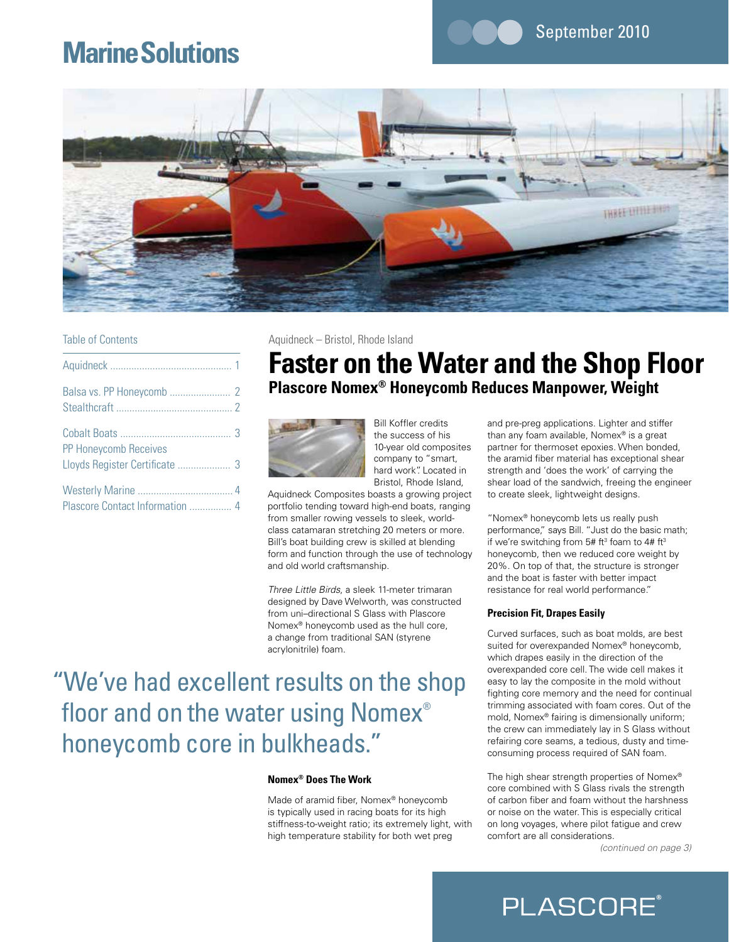## **Marine Solutions**



### Table of Contents

| <b>PP Honeycomb Receives</b>    |  |
|---------------------------------|--|
|                                 |  |
| Plascore Contact Information  4 |  |

Aquidneck – Bristol, Rhode Island

## **Faster on the Water and the Shop Floor Plascore Nomex® Honeycomb Reduces Manpower, Weight**



Bill Koffler credits the success of his 10-year old composites company to "smart, hard work". Located in Bristol, Rhode Island,

Aquidneck Composites boasts a growing project portfolio tending toward high-end boats, ranging from smaller rowing vessels to sleek, worldclass catamaran stretching 20 meters or more. Bill's boat building crew is skilled at blending form and function through the use of technology and old world craftsmanship.

*Three Little Birds*, a sleek 11-meter trimaran designed by Dave Welworth, was constructed from uni–directional S Glass with Plascore Nomex® honeycomb used as the hull core, a change from traditional SAN (styrene acrylonitrile) foam.

# "We've had excellent results on the shop floor and on the water using Nomex® honeycomb core in bulkheads."

### **Nomex® Does The Work**

Made of aramid fiber, Nomex® honeycomb is typically used in racing boats for its high stiffness-to-weight ratio; its extremely light, with high temperature stability for both wet preg

and pre-preg applications. Lighter and stiffer than any foam available, Nomex® is a great partner for thermoset epoxies. When bonded, the aramid fiber material has exceptional shear strength and 'does the work' of carrying the shear load of the sandwich, freeing the engineer to create sleek, lightweight designs.

September 2010

"Nomex® honeycomb lets us really push performance," says Bill. "Just do the basic math; if we're switching from  $5#$  ft<sup>3</sup> foam to  $4#$  ft<sup>3</sup> honeycomb, then we reduced core weight by 20%. On top of that, the structure is stronger and the boat is faster with better impact resistance for real world performance."

### **Precision Fit, Drapes Easily**

Curved surfaces, such as boat molds, are best suited for overexpanded Nomex® honeycomb, which drapes easily in the direction of the overexpanded core cell. The wide cell makes it easy to lay the composite in the mold without fighting core memory and the need for continual trimming associated with foam cores. Out of the mold, Nomex® fairing is dimensionally uniform; the crew can immediately lay in S Glass without refairing core seams, a tedious, dusty and timeconsuming process required of SAN foam.

The high shear strength properties of Nomex® core combined with S Glass rivals the strength of carbon fiber and foam without the harshness or noise on the water. This is especially critical on long voyages, where pilot fatigue and crew comfort are all considerations.

*(continued on page 3)*

## **PLASCORE**®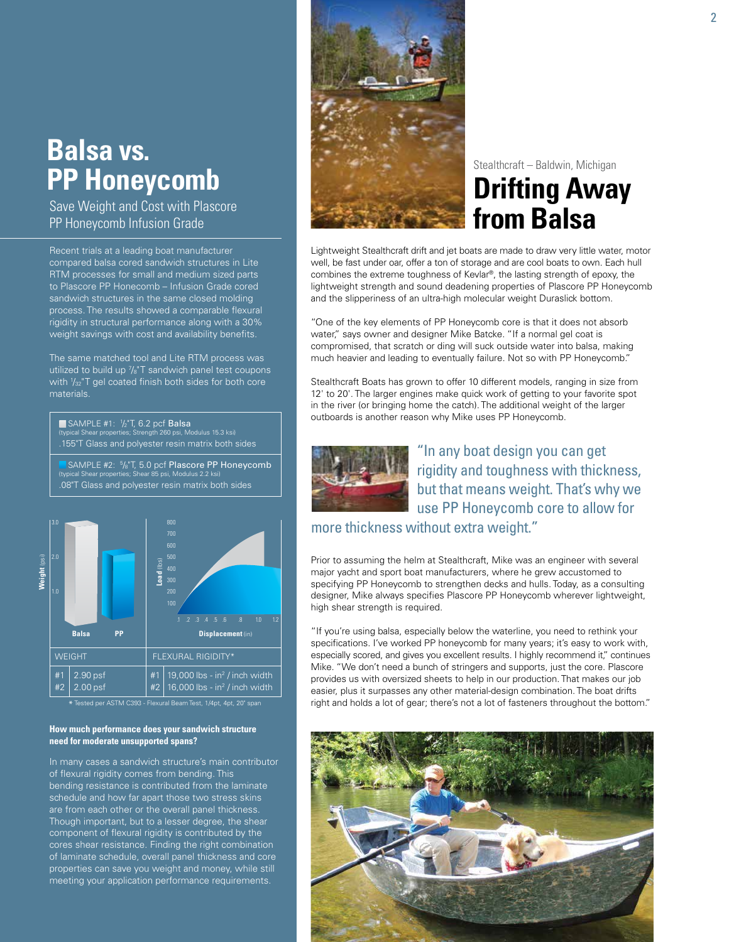## **Balsa vs. PP Honeycomb**

Save Weight and Cost with Plascore PP Honeycomb Infusion Grade

Recent trials at a leading boat manufacturer compared balsa cored sandwich structures in Lite RTM processes for small and medium sized parts to Plascore PP Honecomb – Infusion Grade cored sandwich structures in the same closed molding process. The results showed a comparable flexural rigidity in structural performance along with a 30% weight savings with cost and availability benefits.

The same matched tool and Lite RTM process was utilized to build up  $\frac{7}{8}$ T sandwich panel test coupons with  $\frac{1}{32}$ "T gel coated finish both sides for both core materials.

■ SAMPLE #1: 1/2"T, 6.2 pcf **Balsa**<br>(typical Shear properties; Strength 260 psi, Modulus 15.3 ksi) .155"T Glass and polyester resin matrix both sides SAMPLE #2:  $\frac{5}{8}$ "T, 5.0 pcf Plascore PP Honeycomb

(typical Shear properties; Shear 85 psi, Modulus 2.2 ksi) .08"T Glass and polyester resin matrix both sides



Tested per ASTM C393 - Flexural Beam Test, 1/4pt, 4pt, 20" span

### **How much performance does your sandwich structure need for moderate unsupported spans?**

In many cases a sandwich structure's main contributor of flexural rigidity comes from bending. This bending resistance is contributed from the laminate schedule and how far apart those two stress skins are from each other or the overall panel thickness. Though important, but to a lesser degree, the shear component of flexural rigidity is contributed by the cores shear resistance. Finding the right combination of laminate schedule, overall panel thickness and core properties can save you weight and money, while still meeting your application performance requirements.



## Stealthcraft – Baldwin, Michigan **Drifting Away from Balsa**

Lightweight Stealthcraft drift and jet boats are made to draw very little water, motor well, be fast under oar, offer a ton of storage and are cool boats to own. Each hull combines the extreme toughness of Kevlar®, the lasting strength of epoxy, the lightweight strength and sound deadening properties of Plascore PP Honeycomb and the slipperiness of an ultra-high molecular weight Duraslick bottom.

"One of the key elements of PP Honeycomb core is that it does not absorb water," says owner and designer Mike Batcke. "If a normal gel coat is compromised, that scratch or ding will suck outside water into balsa, making much heavier and leading to eventually failure. Not so with PP Honeycomb."

Stealthcraft Boats has grown to offer 10 different models, ranging in size from 12' to 20'. The larger engines make quick work of getting to your favorite spot in the river (or bringing home the catch). The additional weight of the larger outboards is another reason why Mike uses PP Honeycomb.



"In any boat design you can get rigidity and toughness with thickness, but that means weight. That's why we use PP Honeycomb core to allow for

more thickness without extra weight."

Prior to assuming the helm at Stealthcraft, Mike was an engineer with several major yacht and sport boat manufacturers, where he grew accustomed to specifying PP Honeycomb to strengthen decks and hulls. Today, as a consulting designer, Mike always specifies Plascore PP Honeycomb wherever lightweight, high shear strength is required.

"If you're using balsa, especially below the waterline, you need to rethink your specifications. I've worked PP honeycomb for many years; it's easy to work with, especially scored, and gives you excellent results. I highly recommend it," continues Mike. "We don't need a bunch of stringers and supports, just the core. Plascore provides us with oversized sheets to help in our production. That makes our job easier, plus it surpasses any other material-design combination. The boat drifts right and holds a lot of gear; there's not a lot of fasteners throughout the bottom."

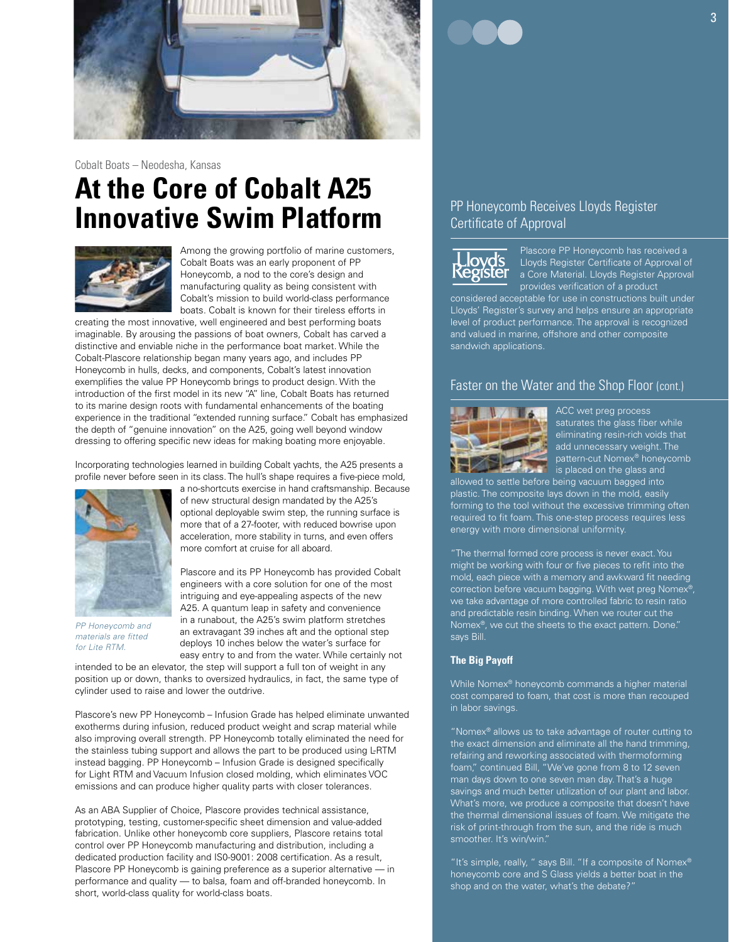

Cobalt Boats – Neodesha, Kansas

# **At the Core of Cobalt A25 Innovative Swim Platform**



Among the growing portfolio of marine customers, Cobalt Boats was an early proponent of PP Honeycomb, a nod to the core's design and manufacturing quality as being consistent with Cobalt's mission to build world-class performance boats. Cobalt is known for their tireless efforts in

creating the most innovative, well engineered and best performing boats imaginable. By arousing the passions of boat owners, Cobalt has carved a distinctive and enviable niche in the performance boat market. While the Cobalt-Plascore relationship began many years ago, and includes PP Honeycomb in hulls, decks, and components, Cobalt's latest innovation exemplifies the value PP Honeycomb brings to product design. With the introduction of the first model in its new "A" line, Cobalt Boats has returned to its marine design roots with fundamental enhancements of the boating experience in the traditional "extended running surface." Cobalt has emphasized the depth of "genuine innovation" on the A25, going well beyond window dressing to offering specific new ideas for making boating more enjoyable.

Incorporating technologies learned in building Cobalt yachts, the A25 presents a profile never before seen in its class. The hull's shape requires a five-piece mold,



*PP Honeycomb and materials are fitted for Lite RTM.*

a no-shortcuts exercise in hand craftsmanship. Because of new structural design mandated by the A25's optional deployable swim step, the running surface is more that of a 27-footer, with reduced bowrise upon acceleration, more stability in turns, and even offers more comfort at cruise for all aboard.

Plascore and its PP Honeycomb has provided Cobalt engineers with a core solution for one of the most intriguing and eye-appealing aspects of the new A25. A quantum leap in safety and convenience in a runabout, the A25's swim platform stretches an extravagant 39 inches aft and the optional step deploys 10 inches below the water's surface for easy entry to and from the water. While certainly not

intended to be an elevator, the step will support a full ton of weight in any position up or down, thanks to oversized hydraulics, in fact, the same type of cylinder used to raise and lower the outdrive.

Plascore's new PP Honeycomb – Infusion Grade has helped eliminate unwanted exotherms during infusion, reduced product weight and scrap material while also improving overall strength. PP Honeycomb totally eliminated the need for the stainless tubing support and allows the part to be produced using L-RTM instead bagging. PP Honeycomb – Infusion Grade is designed specifically for Light RTM and Vacuum Infusion closed molding, which eliminates VOC emissions and can produce higher quality parts with closer tolerances.

As an ABA Supplier of Choice, Plascore provides technical assistance, prototyping, testing, customer-specific sheet dimension and value-added fabrication. Unlike other honeycomb core suppliers, Plascore retains total control over PP Honeycomb manufacturing and distribution, including a dedicated production facility and IS0-9001: 2008 certification. As a result, Plascore PP Honeycomb is gaining preference as a superior alternative — in performance and quality — to balsa, foam and off-branded honeycomb. In short, world-class quality for world-class boats.

### PP Honeycomb Receives Lloyds Register Certificate of Approval



Plascore PP Honeycomb has received a Lloyds Register Certificate of Approval of a Core Material. Lloyds Register Approval provides verification of a product

considered acceptable for use in constructions built under Lloyds' Register's survey and helps ensure an appropriate level of product performance. The approval is recognized and valued in marine, offshore and other composite sandwich applications.

### Faster on the Water and the Shop Floor (cont.)



ACC wet preg process saturates the glass fiber while eliminating resin-rich voids that add unnecessary weight. The pattern-cut Nomex® honeycomb is placed on the glass and

allowed to settle before being vacuum bagged into plastic. The composite lays down in the mold, easily forming to the tool without the excessive trimming often required to fit foam. This one-step process requires less energy with more dimensional uniformity.

"The thermal formed core process is never exact. You might be working with four or five pieces to refit into the mold, each piece with a memory and awkward fit needing correction before vacuum bagging. With wet preg Nomex®, we take advantage of more controlled fabric to resin ratio and predictable resin binding. When we router cut the Nomex®, we cut the sheets to the exact pattern. Done." says Bill.

### **The Big Payoff**

While Nomex® honeycomb commands a higher material cost compared to foam, that cost is more than recouped in labor savings.

"Nomex® allows us to take advantage of router cutting to the exact dimension and eliminate all the hand trimming, refairing and reworking associated with thermoforming foam," continued Bill, "We've gone from 8 to 12 seven man days down to one seven man day. That's a huge savings and much better utilization of our plant and labor. What's more, we produce a composite that doesn't have the thermal dimensional issues of foam. We mitigate the risk of print-through from the sun, and the ride is much smoother. It's win/win."

"It's simple, really, " says Bill. "If a composite of Nomex® honeycomb core and S Glass yields a better boat in the shop and on the water, what's the debate?"